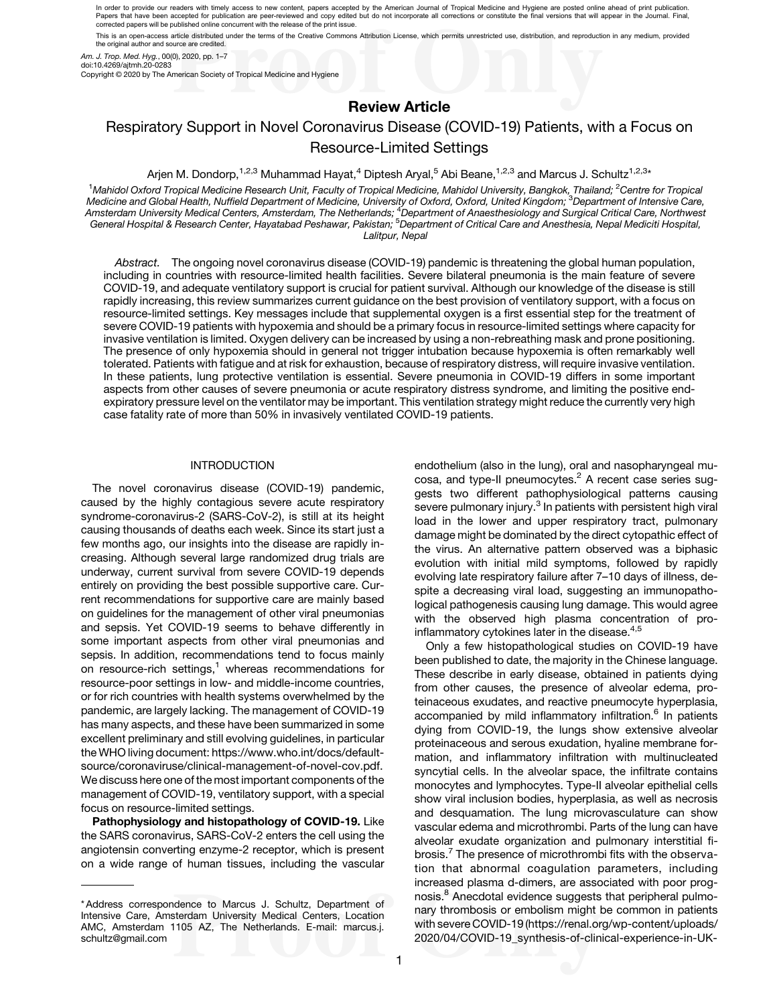In order to provide our readers with timely access to new content, papers accepted by the American Journal of Tropical Medicine and Hygiene are posted online ahead of print publication. Papers that have been accepted for publication are peer-reviewed and copy edited but do not incorporate all corrections or constitute the final versions that will appear in the Journal. Final,<br>corrected papers will be publ This is an open-access article distributed under the terms of the Creative Commons Attribution License, which permits unrestricted use, distribution, and reproduction in any medium, provided

the original author and source are credited

Am. J. Trop. Med. Hyg., 00(0), 2020, pp. 1–7 doi:10.4269/ajtmh.20-0283

Copyright © 2020 by The American Society of Tropical Medicine and Hygiene

# Review Article

# Respiratory Support in Novel Coronavirus Disease (COVID-19) Patients, with a Focus on Resource-Limited Settings

Arjen M. Dondorp,<sup>1,2,3</sup> Muhammad Hayat,<sup>4</sup> Diptesh Aryal,<sup>5</sup> Abi Beane,<sup>1,2,3</sup> and Marcus J. Schultz<sup>1,2,3</sup>\*

<sup>1</sup>Mahidol Oxford Tropical Medicine Research Unit, Faculty of Tropical Medicine, Mahidol University, Bangkok, Thailand; <sup>2</sup>Centre for Tropical Medicine and Global Health, Nuffield Department of Medicine, University of Oxford, Oxford, United Kingdom; <sup>3</sup>Department of Intensive Care, Amsterdam University Medical Centers, Amsterdam, The Netherlands; <sup>4</sup>Department of Anaesthesiology and Surgical Critical Care, Northwest<br>General Hospital & Research Center, Hayatabad Peshawar, Pakistan; <sup>5</sup>Department of Cr Lalitpur, Nepal

Abstract. The ongoing novel coronavirus disease (COVID-19) pandemic is threatening the global human population, including in countries with resource-limited health facilities. Severe bilateral pneumonia is the main feature of severe COVID-19, and adequate ventilatory support is crucial for patient survival. Although our knowledge of the disease is still rapidly increasing, this review summarizes current guidance on the best provision of ventilatory support, with a focus on resource-limited settings. Key messages include that supplemental oxygen is a first essential step for the treatment of severe COVID-19 patients with hypoxemia and should be a primary focus in resource-limited settings where capacity for invasive ventilation is limited. Oxygen delivery can be increased by using a non-rebreathing mask and prone positioning. The presence of only hypoxemia should in general not trigger intubation because hypoxemia is often remarkably well tolerated. Patients with fatigue and at risk for exhaustion, because of respiratory distress, will require invasive ventilation. In these patients, lung protective ventilation is essential. Severe pneumonia in COVID-19 differs in some important aspects from other causes of severe pneumonia or acute respiratory distress syndrome, and limiting the positive endexpiratory pressure level on the ventilator may be important. This ventilation strategy might reduce the currently very high case fatality rate of more than 50% in invasively ventilated COVID-19 patients.

## **INTRODUCTION**

The novel coronavirus disease (COVID-19) pandemic, caused by the highly contagious severe acute respiratory syndrome-coronavirus-2 (SARS-CoV-2), is still at its height causing thousands of deaths each week. Since its start just a few months ago, our insights into the disease are rapidly increasing. Although several large randomized drug trials are underway, current survival from severe COVID-19 depends entirely on providing the best possible supportive care. Current recommendations for supportive care are mainly based on guidelines for the management of other viral pneumonias and sepsis. Yet COVID-19 seems to behave differently in some important aspects from other viral pneumonias and sepsis. In addition, recommendations tend to focus mainly on resource-rich settings, $1$  whereas recommendations for resource-poor settings in low- and middle-income countries, or for rich countries with health systems overwhelmed by the pandemic, are largely lacking. The management of COVID-19 has many aspects, and these have been summarized in some excellent preliminary and still evolving guidelines, in particular the WHO living document: [https://www.who.int/docs/default](https://www.who.int/docs/default-source/coronaviruse/clinical-management-of-novel-cov.pdf)[source/coronaviruse/clinical-management-of-novel-cov.pdf.](https://www.who.int/docs/default-source/coronaviruse/clinical-management-of-novel-cov.pdf) We discuss here one of the most important components of the management of COVID-19, ventilatory support, with a special focus on resource-limited settings.

Pathophysiology and histopathology of COVID-19. Like the SARS coronavirus, SARS-CoV-2 enters the cell using the angiotensin converting enzyme-2 receptor, which is present on a wide range of human tissues, including the vascular endothelium (also in the lung), oral and nasopharyngeal mu-cosa, and type-II pneumocytes.<sup>[2](#page-5-0)</sup> A recent case series suggests two different pathophysiological patterns causing severe pulmonary injury.<sup>[3](#page-5-0)</sup> In patients with persistent high viral load in the lower and upper respiratory tract, pulmonary damage might be dominated by the direct cytopathic effect of the virus. An alternative pattern observed was a biphasic evolution with initial mild symptoms, followed by rapidly evolving late respiratory failure after 7–10 days of illness, despite a decreasing viral load, suggesting an immunopathological pathogenesis causing lung damage. This would agree with the observed high plasma concentration of proinflammatory cytokines later in the disease.  $4.5$ 

Only a few histopathological studies on COVID-19 have been published to date, the majority in the Chinese language. These describe in early disease, obtained in patients dying from other causes, the presence of alveolar edema, proteinaceous exudates, and reactive pneumocyte hyperplasia, accompanied by mild inflammatory infiltration. $6$  In patients dying from COVID-19, the lungs show extensive alveolar proteinaceous and serous exudation, hyaline membrane formation, and inflammatory infiltration with multinucleated syncytial cells. In the alveolar space, the infiltrate contains monocytes and lymphocytes. Type-II alveolar epithelial cells show viral inclusion bodies, hyperplasia, as well as necrosis and desquamation. The lung microvasculature can show vascular edema and microthrombi. Parts of the lung can have alveolar exudate organization and pulmonary interstitial fi-brosis.<sup>[7](#page-5-0)</sup> The presence of microthrombi fits with the observation that abnormal coagulation parameters, including increased plasma d-dimers, are associated with poor prognosis.<sup>8</sup> Anecdotal evidence suggests that peripheral pulmonary thrombosis or embolism might be common in patients with severe COVID-19 [\(https://renal.org/wp-content/uploads/](https://renal.org/wp-content/uploads/2020/04/COVID-19_synthesis-of-clinical-experience-in-UK-intensive-care_04.04.2020_FINAL.pdf) [2020/04/COVID-19\\_synthesis-of-clinical-experience-in-UK-](https://renal.org/wp-content/uploads/2020/04/COVID-19_synthesis-of-clinical-experience-in-UK-intensive-care_04.04.2020_FINAL.pdf)

<sup>\*</sup> Address correspondence to Marcus J. Schultz, Department of Intensive Care, Amsterdam University Medical Centers, Location AMC, Amsterdam 1105 AZ, The Netherlands. E-mail: [marcus.j.](mailto:marcus.j.schultz@gmail.com) [schultz@gmail.com](mailto:marcus.j.schultz@gmail.com)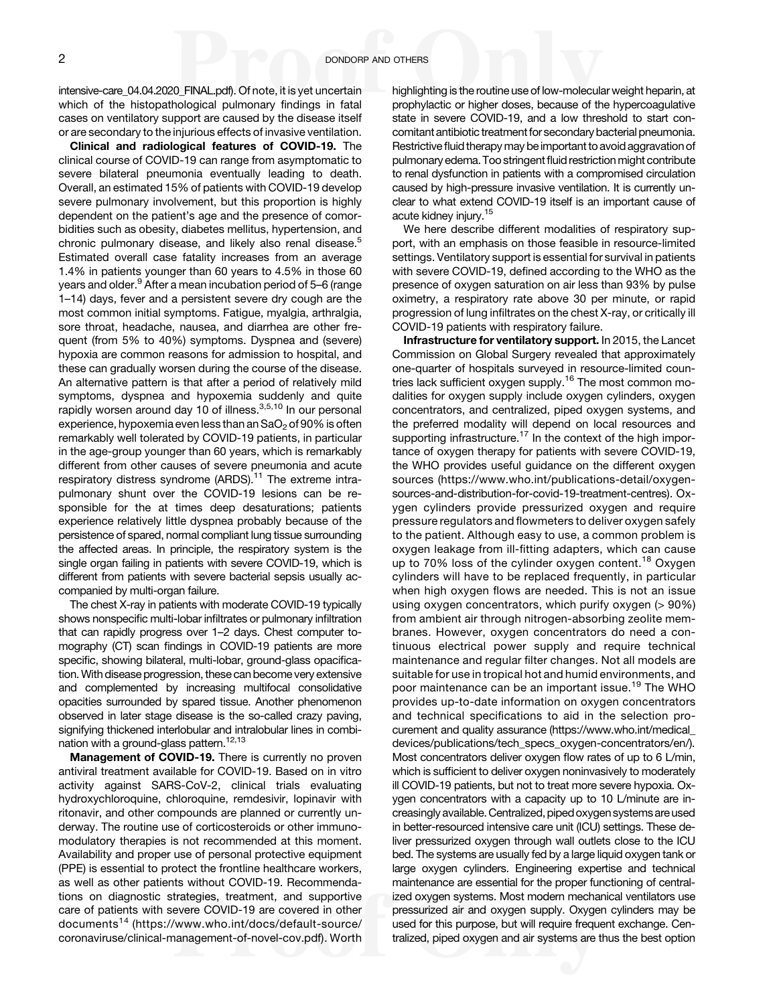intensive-care 04.04.2020 FINAL.pdf). Of note, it is yet uncertain which of the histopathological pulmonary findings in fatal cases on ventilatory support are caused by the disease itself or are secondary to the injurious effects of invasive ventilation.

Clinical and radiological features of COVID-19. The clinical course of COVID-19 can range from asymptomatic to severe bilateral pneumonia eventually leading to death. Overall, an estimated 15% of patients with COVID-19 develop severe pulmonary involvement, but this proportion is highly dependent on the patient's age and the presence of comorbidities such as obesity, diabetes mellitus, hypertension, and chronic pulmonary disease, and likely also renal disease.<sup>[5](#page-5-0)</sup> Estimated overall case fatality increases from an average 1.4% in patients younger than 60 years to 4.5% in those 60 years and older.<sup>[9](#page-5-0)</sup> After a mean incubation period of 5–6 (range 1–14) days, fever and a persistent severe dry cough are the most common initial symptoms. Fatigue, myalgia, arthralgia, sore throat, headache, nausea, and diarrhea are other frequent (from 5% to 40%) symptoms. Dyspnea and (severe) hypoxia are common reasons for admission to hospital, and these can gradually worsen during the course of the disease. An alternative pattern is that after a period of relatively mild symptoms, dyspnea and hypoxemia suddenly and quite rapidly worsen around day 10 of illness.<sup>[3](#page-5-0),[5,10](#page-5-0)</sup> In our personal experience, hypoxemia even less than an  $SaO<sub>2</sub>$  of 90% is often remarkably well tolerated by COVID-19 patients, in particular in the age-group younger than 60 years, which is remarkably different from other causes of severe pneumonia and acute respiratory distress syndrome (ARDS).<sup>[11](#page-5-0)</sup> The extreme intrapulmonary shunt over the COVID-19 lesions can be responsible for the at times deep desaturations; patients experience relatively little dyspnea probably because of the persistence of spared, normal compliant lung tissue surrounding the affected areas. In principle, the respiratory system is the single organ failing in patients with severe COVID-19, which is different from patients with severe bacterial sepsis usually accompanied by multi-organ failure.

The chest X-ray in patients with moderate COVID-19 typically shows nonspecific multi-lobar infiltrates or pulmonary infiltration that can rapidly progress over 1–2 days. Chest computer tomography (CT) scan findings in COVID-19 patients are more specific, showing bilateral, multi-lobar, ground-glass opacification.With disease progression, these can become very extensive and complemented by increasing multifocal consolidative opacities surrounded by spared tissue. Another phenomenon observed in later stage disease is the so-called crazy paving, signifying thickened interlobular and intralobular lines in combination with a ground-glass pattern.<sup>12,13</sup>

Management of COVID-19. There is currently no proven antiviral treatment available for COVID-19. Based on in vitro activity against SARS-CoV-2, clinical trials evaluating hydroxychloroquine, chloroquine, remdesivir, lopinavir with ritonavir, and other compounds are planned or currently underway. The routine use of corticosteroids or other immunomodulatory therapies is not recommended at this moment. Availability and proper use of personal protective equipment (PPE) is essential to protect the frontline healthcare workers, as well as other patients without COVID-19. Recommendations on diagnostic strategies, treatment, and supportive care of patients with severe COVID-19 are covered in other documents[14](#page-5-0) ([https://www.who.int/docs/default-source/](https://www.who.int/docs/default-source/coronaviruse/clinical-management-of-novel-cov.pdf) [coronaviruse/clinical-management-of-novel-cov.pdf\)](https://www.who.int/docs/default-source/coronaviruse/clinical-management-of-novel-cov.pdf). Worth

highlighting is the routine use of low-molecular weight heparin, at prophylactic or higher doses, because of the hypercoagulative state in severe COVID-19, and a low threshold to start concomitant antibiotic treatment for secondary bacterial pneumonia. Restrictive fluid therapy may be important to avoid aggravation of pulmonary edema. Too stringent fluid restriction might contribute to renal dysfunction in patients with a compromised circulation caused by high-pressure invasive ventilation. It is currently unclear to what extend COVID-19 itself is an important cause of acute kidney injury.[15](#page-5-0)

We here describe different modalities of respiratory support, with an emphasis on those feasible in resource-limited settings. Ventilatory support is essential for survival in patients with severe COVID-19, defined according to the WHO as the presence of oxygen saturation on air less than 93% by pulse oximetry, a respiratory rate above 30 per minute, or rapid progression of lung infiltrates on the chest X-ray, or critically ill COVID-19 patients with respiratory failure.

Infrastructure for ventilatory support. In 2015, the Lancet Commission on Global Surgery revealed that approximately one-quarter of hospitals surveyed in resource-limited countries lack sufficient oxygen supply.<sup>16</sup> The most common modalities for oxygen supply include oxygen cylinders, oxygen concentrators, and centralized, piped oxygen systems, and the preferred modality will depend on local resources and supporting infrastructure.<sup>[17](#page-5-0)</sup> In the context of the high importance of oxygen therapy for patients with severe COVID-19, the WHO provides useful guidance on the different oxygen sources ([https://www.who.int/publications-detail/oxygen](https://www.who.int/publications-detail/oxygen-sources-and-distribution-for-covid-19-treatment-centres)[sources-and-distribution-for-covid-19-treatment-centres](https://www.who.int/publications-detail/oxygen-sources-and-distribution-for-covid-19-treatment-centres)). Oxygen cylinders provide pressurized oxygen and require pressure regulators and flowmeters to deliver oxygen safely to the patient. Although easy to use, a common problem is oxygen leakage from ill-fitting adapters, which can cause up to 70% loss of the cylinder oxygen content.<sup>[18](#page-5-0)</sup> Oxygen cylinders will have to be replaced frequently, in particular when high oxygen flows are needed. This is not an issue using oxygen concentrators, which purify oxygen (> 90%) from ambient air through nitrogen-absorbing zeolite membranes. However, oxygen concentrators do need a continuous electrical power supply and require technical maintenance and regular filter changes. Not all models are suitable for use in tropical hot and humid environments, and poor maintenance can be an important issue.<sup>[19](#page-5-0)</sup> The WHO provides up-to-date information on oxygen concentrators and technical specifications to aid in the selection procurement and quality assurance [\(https://www.who.int/medical\\_](https://www.who.int/medical_devices/publications/tech_specs_oxygen-concentrators/en/) [devices/publications/tech\\_specs\\_oxygen-concentrators/en/](https://www.who.int/medical_devices/publications/tech_specs_oxygen-concentrators/en/)). Most concentrators deliver oxygen flow rates of up to 6 L/min, which is sufficient to deliver oxygen noninvasively to moderately ill COVID-19 patients, but not to treat more severe hypoxia. Oxygen concentrators with a capacity up to 10 L/minute are increasingly available. Centralized, piped oxygen systems are used in better-resourced intensive care unit (ICU) settings. These deliver pressurized oxygen through wall outlets close to the ICU bed. The systems are usually fed by a large liquid oxygen tank or large oxygen cylinders. Engineering expertise and technical maintenance are essential for the proper functioning of centralized oxygen systems. Most modern mechanical ventilators use pressurized air and oxygen supply. Oxygen cylinders may be used for this purpose, but will require frequent exchange. Centralized, piped oxygen and air systems are thus the best option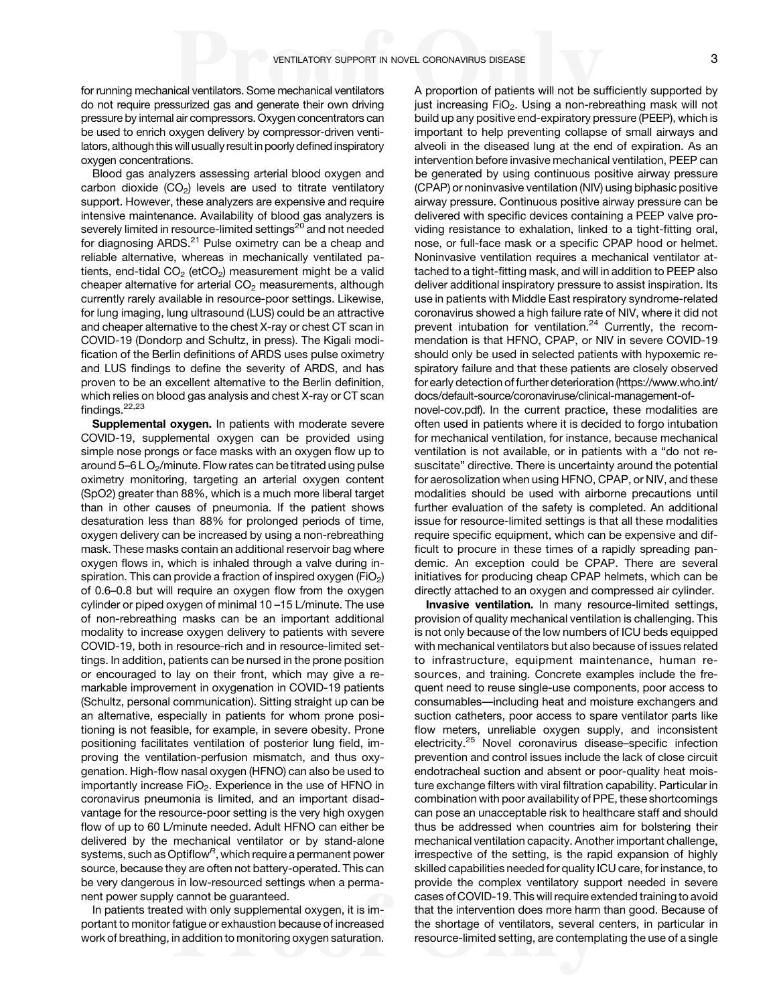for running mechanical ventilators. Some mechanical ventilators do not require pressurized gas and generate their own driving pressure by internal air compressors. Oxygen concentrators can be used to enrich oxygen delivery by compressor-driven ventilators, although this will usually result in poorly defined inspiratory oxygen concentrations.

Blood gas analyzers assessing arterial blood oxygen and carbon dioxide  $(CO<sub>2</sub>)$  levels are used to titrate ventilatory support. However, these analyzers are expensive and require intensive maintenance. Availability of blood gas analyzers is severely limited in resource-limited settings<sup>[20](#page-5-0)</sup> and not needed for diagnosing  $ARDS.<sup>21</sup>$  $ARDS.<sup>21</sup>$  $ARDS.<sup>21</sup>$  Pulse oximetry can be a cheap and reliable alternative, whereas in mechanically ventilated patients, end-tidal  $CO<sub>2</sub>$  (etCO<sub>2</sub>) measurement might be a valid cheaper alternative for arterial  $CO<sub>2</sub>$  measurements, although currently rarely available in resource-poor settings. Likewise, for lung imaging, lung ultrasound (LUS) could be an attractive and cheaper alternative to the chest X-ray or chest CT scan in COVID-19 (Dondorp and Schultz, in press). The Kigali modification of the Berlin definitions of ARDS uses pulse oximetry and LUS findings to define the severity of ARDS, and has proven to be an excellent alternative to the Berlin definition, which relies on blood gas analysis and chest X-ray or CT scan findings.[22,23](#page-6-0)

Supplemental oxygen. In patients with moderate severe COVID-19, supplemental oxygen can be provided using simple nose prongs or face masks with an oxygen flow up to around  $5-6$  LO<sub>2</sub>/minute. Flow rates can be titrated using pulse oximetry monitoring, targeting an arterial oxygen content (SpO2) greater than 88%, which is a much more liberal target than in other causes of pneumonia. If the patient shows desaturation less than 88% for prolonged periods of time, oxygen delivery can be increased by using a non-rebreathing mask. These masks contain an additional reservoir bag where oxygen flows in, which is inhaled through a valve during inspiration. This can provide a fraction of inspired oxygen ( $FIO<sub>2</sub>$ ) of 0.6–0.8 but will require an oxygen flow from the oxygen cylinder or piped oxygen of minimal 10 –15 L/minute. The use of non-rebreathing masks can be an important additional modality to increase oxygen delivery to patients with severe COVID-19, both in resource-rich and in resource-limited settings. In addition, patients can be nursed in the prone position or encouraged to lay on their front, which may give a remarkable improvement in oxygenation in COVID-19 patients (Schultz, personal communication). Sitting straight up can be an alternative, especially in patients for whom prone positioning is not feasible, for example, in severe obesity. Prone positioning facilitates ventilation of posterior lung field, improving the ventilation-perfusion mismatch, and thus oxygenation. High-flow nasal oxygen (HFNO) can also be used to importantly increase  $FiO<sub>2</sub>$ . Experience in the use of HFNO in coronavirus pneumonia is limited, and an important disadvantage for the resource-poor setting is the very high oxygen flow of up to 60 L/minute needed. Adult HFNO can either be delivered by the mechanical ventilator or by stand-alone systems, such as Optiflow<sup>R</sup>, which require a permanent power source, because they are often not battery-operated. This can be very dangerous in low-resourced settings when a permanent power supply cannot be guaranteed.

In patients treated with only supplemental oxygen, it is important to monitor fatigue or exhaustion because of increased work of breathing, in addition to monitoring oxygen saturation. A proportion of patients will not be sufficiently supported by just increasing FiO<sub>2</sub>. Using a non-rebreathing mask will not build up any positive end-expiratory pressure (PEEP), which is important to help preventing collapse of small airways and alveoli in the diseased lung at the end of expiration. As an intervention before invasive mechanical ventilation, PEEP can be generated by using continuous positive airway pressure (CPAP) or noninvasive ventilation (NIV) using biphasic positive airway pressure. Continuous positive airway pressure can be delivered with specific devices containing a PEEP valve providing resistance to exhalation, linked to a tight-fitting oral, nose, or full-face mask or a specific CPAP hood or helmet. Noninvasive ventilation requires a mechanical ventilator attached to a tight-fitting mask, and will in addition to PEEP also deliver additional inspiratory pressure to assist inspiration. Its use in patients with Middle East respiratory syndrome-related coronavirus showed a high failure rate of NIV, where it did not prevent intubation for ventilation. $24$  Currently, the recommendation is that HFNO, CPAP, or NIV in severe COVID-19 should only be used in selected patients with hypoxemic respiratory failure and that these patients are closely observed for early detection of further deterioration ([https://www.who.int/](https://www.who.int/docs/default-source/coronaviruse/clinical-management-of-novel-cov.pdf) [docs/default-source/coronaviruse/clinical-management-of-](https://www.who.int/docs/default-source/coronaviruse/clinical-management-of-novel-cov.pdf)

[novel-cov.pdf](https://www.who.int/docs/default-source/coronaviruse/clinical-management-of-novel-cov.pdf)). In the current practice, these modalities are often used in patients where it is decided to forgo intubation for mechanical ventilation, for instance, because mechanical ventilation is not available, or in patients with a "do not resuscitate" directive. There is uncertainty around the potential for aerosolization when using HFNO, CPAP, or NIV, and these modalities should be used with airborne precautions until further evaluation of the safety is completed. An additional issue for resource-limited settings is that all these modalities require specific equipment, which can be expensive and difficult to procure in these times of a rapidly spreading pandemic. An exception could be CPAP. There are several initiatives for producing cheap CPAP helmets, which can be directly attached to an oxygen and compressed air cylinder.

Invasive ventilation. In many resource-limited settings, provision of quality mechanical ventilation is challenging. This is not only because of the low numbers of ICU beds equipped with mechanical ventilators but also because of issues related to infrastructure, equipment maintenance, human resources, and training. Concrete examples include the frequent need to reuse single-use components, poor access to consumables—including heat and moisture exchangers and suction catheters, poor access to spare ventilator parts like flow meters, unreliable oxygen supply, and inconsistent electricity.[25](#page-6-0) Novel coronavirus disease–specific infection prevention and control issues include the lack of close circuit endotracheal suction and absent or poor-quality heat moisture exchange filters with viral filtration capability. Particular in combination with poor availability of PPE, these shortcomings can pose an unacceptable risk to healthcare staff and should thus be addressed when countries aim for bolstering their mechanical ventilation capacity. Another important challenge, irrespective of the setting, is the rapid expansion of highly skilled capabilities needed for quality ICU care, for instance, to provide the complex ventilatory support needed in severe cases of COVID-19. This will require extended training to avoid that the intervention does more harm than good. Because of the shortage of ventilators, several centers, in particular in resource-limited setting, are contemplating the use of a single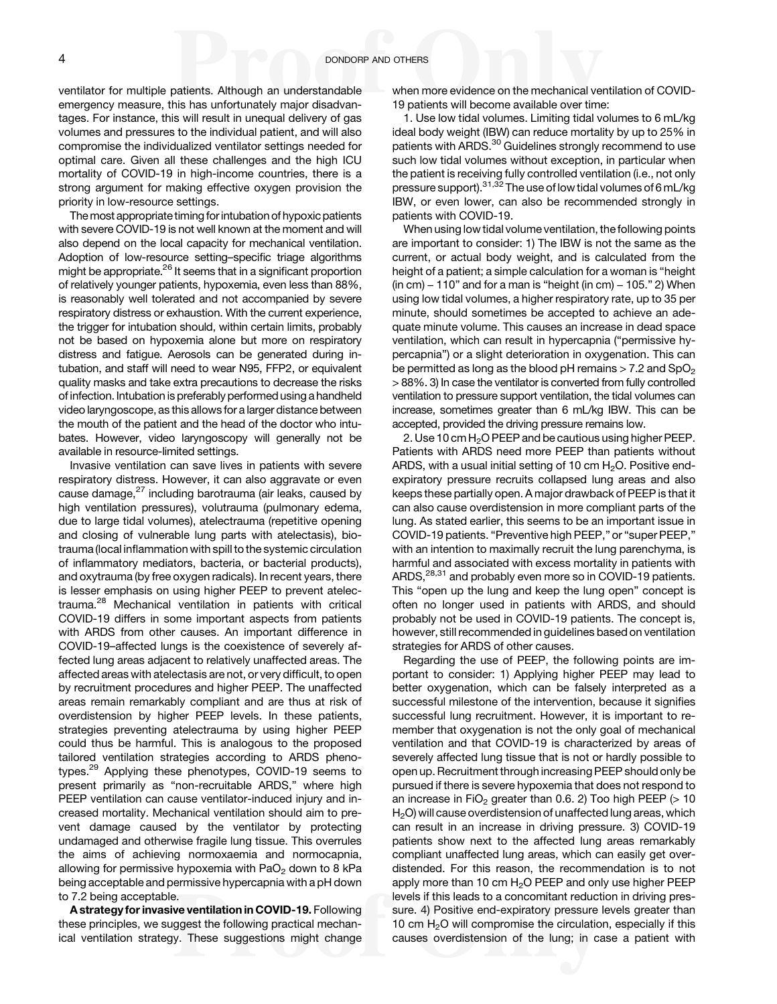ventilator for multiple patients. Although an understandable emergency measure, this has unfortunately major disadvantages. For instance, this will result in unequal delivery of gas volumes and pressures to the individual patient, and will also compromise the individualized ventilator settings needed for optimal care. Given all these challenges and the high ICU mortality of COVID-19 in high-income countries, there is a strong argument for making effective oxygen provision the priority in low-resource settings.

The most appropriate timing for intubation of hypoxic patients with severe COVID-19 is not well known at the moment and will also depend on the local capacity for mechanical ventilation. Adoption of low-resource setting–specific triage algorithms might be appropriate.<sup>26</sup> It seems that in a significant proportion of relatively younger patients, hypoxemia, even less than 88%, is reasonably well tolerated and not accompanied by severe respiratory distress or exhaustion. With the current experience, the trigger for intubation should, within certain limits, probably not be based on hypoxemia alone but more on respiratory distress and fatigue. Aerosols can be generated during intubation, and staff will need to wear N95, FFP2, or equivalent quality masks and take extra precautions to decrease the risks of infection. Intubation is preferably performed using a handheld video laryngoscope, as this allows for a larger distance between the mouth of the patient and the head of the doctor who intubates. However, video laryngoscopy will generally not be available in resource-limited settings.

Invasive ventilation can save lives in patients with severe respiratory distress. However, it can also aggravate or even cause damage, $27$  including barotrauma (air leaks, caused by high ventilation pressures), volutrauma (pulmonary edema, due to large tidal volumes), atelectrauma (repetitive opening and closing of vulnerable lung parts with atelectasis), biotrauma (local inflammation with spill to the systemic circulation of inflammatory mediators, bacteria, or bacterial products), and oxytrauma (by free oxygen radicals). In recent years, there is lesser emphasis on using higher PEEP to prevent atelectrauma.[28](#page-6-0) Mechanical ventilation in patients with critical COVID-19 differs in some important aspects from patients with ARDS from other causes. An important difference in COVID-19–affected lungs is the coexistence of severely affected lung areas adjacent to relatively unaffected areas. The affected areas with atelectasis are not, or very difficult, to open by recruitment procedures and higher PEEP. The unaffected areas remain remarkably compliant and are thus at risk of overdistension by higher PEEP levels. In these patients, strategies preventing atelectrauma by using higher PEEP could thus be harmful. This is analogous to the proposed tailored ventilation strategies according to ARDS phenotypes.<sup>29</sup> Applying these phenotypes, COVID-19 seems to present primarily as "non-recruitable ARDS," where high PEEP ventilation can cause ventilator-induced injury and increased mortality. Mechanical ventilation should aim to prevent damage caused by the ventilator by protecting undamaged and otherwise fragile lung tissue. This overrules the aims of achieving normoxaemia and normocapnia, allowing for permissive hypoxemia with  $PaO<sub>2</sub>$  down to 8 kPa being acceptable and permissive hypercapnia with a pH down to 7.2 being acceptable.

A strategy for invasive ventilation in COVID-19. Following these principles, we suggest the following practical mechanical ventilation strategy. These suggestions might change when more evidence on the mechanical ventilation of COVID-19 patients will become available over time:

1. Use low tidal volumes. Limiting tidal volumes to 6 mL/kg ideal body weight (IBW) can reduce mortality by up to 25% in patients with ARDS.<sup>[30](#page-6-0)</sup> Guidelines strongly recommend to use such low tidal volumes without exception, in particular when the patient is receiving fully controlled ventilation (i.e., not only pressure support).[31,32](#page-6-0) The use of low tidal volumes of 6 mL/kg IBW, or even lower, can also be recommended strongly in patients with COVID-19.

When using low tidal volume ventilation, the following points are important to consider: 1) The IBW is not the same as the current, or actual body weight, and is calculated from the height of a patient; a simple calculation for a woman is "height (in cm) <sup>−</sup> <sup>110</sup>" and for a man is "height (in cm) <sup>−</sup> 105." 2) When using low tidal volumes, a higher respiratory rate, up to 35 per minute, should sometimes be accepted to achieve an adequate minute volume. This causes an increase in dead space ventilation, which can result in hypercapnia ("permissive hypercapnia") or a slight deterioration in oxygenation. This can be permitted as long as the blood pH remains  $> 7.2$  and SpO<sub>2</sub> > 88%. 3) In case the ventilator is converted from fully controlled ventilation to pressure support ventilation, the tidal volumes can increase, sometimes greater than 6 mL/kg IBW. This can be accepted, provided the driving pressure remains low.

2. Use 10 cm H<sub>2</sub>O PEEP and be cautious using higher PEEP. Patients with ARDS need more PEEP than patients without ARDS, with a usual initial setting of 10 cm  $H<sub>2</sub>O$ . Positive endexpiratory pressure recruits collapsed lung areas and also keeps these partially open. A major drawback of PEEP is that it can also cause overdistension in more compliant parts of the lung. As stated earlier, this seems to be an important issue in COVID-19 patients. "Preventive high PEEP," or "super PEEP," with an intention to maximally recruit the lung parenchyma, is harmful and associated with excess mortality in patients with ARDS,<sup>28,31</sup> and probably even more so in COVID-19 patients. This "open up the lung and keep the lung open" concept is often no longer used in patients with ARDS, and should probably not be used in COVID-19 patients. The concept is, however, still recommended in guidelines based on ventilation strategies for ARDS of other causes.

Regarding the use of PEEP, the following points are important to consider: 1) Applying higher PEEP may lead to better oxygenation, which can be falsely interpreted as a successful milestone of the intervention, because it signifies successful lung recruitment. However, it is important to remember that oxygenation is not the only goal of mechanical ventilation and that COVID-19 is characterized by areas of severely affected lung tissue that is not or hardly possible to open up. Recruitment through increasing PEEP should only be pursued if there is severe hypoxemia that does not respond to an increase in FiO<sub>2</sub> greater than 0.6. 2) Too high PEEP ( $> 10$  $H<sub>2</sub>O$ ) will cause overdistension of unaffected lung areas, which can result in an increase in driving pressure. 3) COVID-19 patients show next to the affected lung areas remarkably compliant unaffected lung areas, which can easily get overdistended. For this reason, the recommendation is to not apply more than 10 cm  $H<sub>2</sub>O$  PEEP and only use higher PEEP levels if this leads to a concomitant reduction in driving pressure. 4) Positive end-expiratory pressure levels greater than 10 cm  $H<sub>2</sub>O$  will compromise the circulation, especially if this causes overdistension of the lung; in case a patient with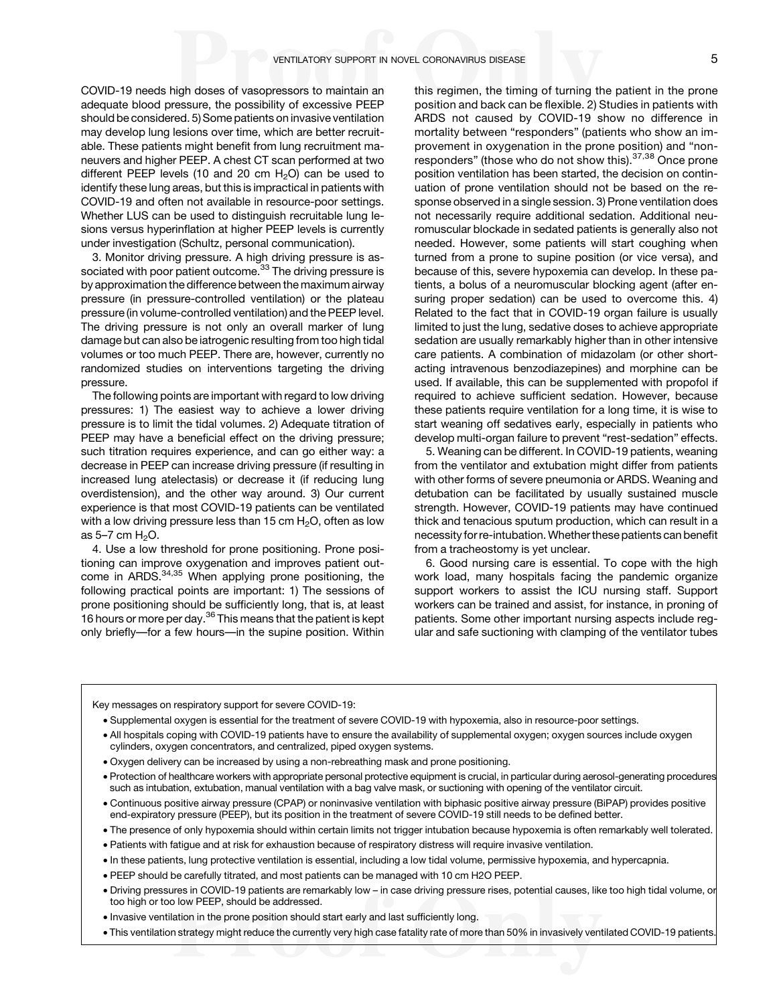COVID-19 needs high doses of vasopressors to maintain an adequate blood pressure, the possibility of excessive PEEP should be considered. 5) Some patients on invasive ventilation may develop lung lesions over time, which are better recruitable. These patients might benefit from lung recruitment maneuvers and higher PEEP. A chest CT scan performed at two different PEEP levels (10 and 20 cm  $H_2O$ ) can be used to identify these lung areas, but this is impractical in patients with COVID-19 and often not available in resource-poor settings. Whether LUS can be used to distinguish recruitable lung lesions versus hyperinflation at higher PEEP levels is currently under investigation (Schultz, personal communication).

3. Monitor driving pressure. A high driving pressure is as-sociated with poor patient outcome.<sup>[33](#page-6-0)</sup> The driving pressure is by approximation the difference between the maximum airway pressure (in pressure-controlled ventilation) or the plateau pressure (in volume-controlled ventilation) and the PEEP level. The driving pressure is not only an overall marker of lung damage but can also be iatrogenic resulting from too high tidal volumes or too much PEEP. There are, however, currently no randomized studies on interventions targeting the driving pressure.

The following points are important with regard to low driving pressures: 1) The easiest way to achieve a lower driving pressure is to limit the tidal volumes. 2) Adequate titration of PEEP may have a beneficial effect on the driving pressure; such titration requires experience, and can go either way: a decrease in PEEP can increase driving pressure (if resulting in increased lung atelectasis) or decrease it (if reducing lung overdistension), and the other way around. 3) Our current experience is that most COVID-19 patients can be ventilated with a low driving pressure less than 15 cm  $H_2O$ , often as low as  $5-7$  cm  $H<sub>2</sub>O$ .

4. Use a low threshold for prone positioning. Prone positioning can improve oxygenation and improves patient out-come in ARDS.<sup>[34,35](#page-6-0)</sup> When applying prone positioning, the following practical points are important: 1) The sessions of prone positioning should be sufficiently long, that is, at least 16 hours or more per day.<sup>[36](#page-6-0)</sup> This means that the patient is kept only briefly—for a few hours—in the supine position. Within this regimen, the timing of turning the patient in the prone position and back can be flexible. 2) Studies in patients with ARDS not caused by COVID-19 show no difference in mortality between "responders" (patients who show an improvement in oxygenation in the prone position) and "non-responders" (those who do not show this). [37,38](#page-6-0) Once prone position ventilation has been started, the decision on continuation of prone ventilation should not be based on the response observed in a single session. 3) Prone ventilation does not necessarily require additional sedation. Additional neuromuscular blockade in sedated patients is generally also not needed. However, some patients will start coughing when turned from a prone to supine position (or vice versa), and because of this, severe hypoxemia can develop. In these patients, a bolus of a neuromuscular blocking agent (after ensuring proper sedation) can be used to overcome this. 4) Related to the fact that in COVID-19 organ failure is usually limited to just the lung, sedative doses to achieve appropriate sedation are usually remarkably higher than in other intensive care patients. A combination of midazolam (or other shortacting intravenous benzodiazepines) and morphine can be used. If available, this can be supplemented with propofol if required to achieve sufficient sedation. However, because these patients require ventilation for a long time, it is wise to start weaning off sedatives early, especially in patients who develop multi-organ failure to prevent "rest-sedation" effects.

5. Weaning can be different. In COVID-19 patients, weaning from the ventilator and extubation might differ from patients with other forms of severe pneumonia or ARDS. Weaning and detubation can be facilitated by usually sustained muscle strength. However, COVID-19 patients may have continued thick and tenacious sputum production, which can result in a necessity for re-intubation. Whether these patients can benefit from a tracheostomy is yet unclear.

6. Good nursing care is essential. To cope with the high work load, many hospitals facing the pandemic organize support workers to assist the ICU nursing staff. Support workers can be trained and assist, for instance, in proning of patients. Some other important nursing aspects include regular and safe suctioning with clamping of the ventilator tubes

Key messages on respiratory support for severe COVID-19:

- Supplemental oxygen is essential for the treatment of severe COVID-19 with hypoxemia, also in resource-poor settings.
- All hospitals coping with COVID-19 patients have to ensure the availability of supplemental oxygen; oxygen sources include oxygen cylinders, oxygen concentrators, and centralized, piped oxygen systems.
- Oxygen delivery can be increased by using a non-rebreathing mask and prone positioning.
- Protection of healthcare workers with appropriate personal protective equipment is crucial, in particular during aerosol-generating procedures such as intubation, extubation, manual ventilation with a bag valve mask, or suctioning with opening of the ventilator circuit.
- Continuous positive airway pressure (CPAP) or noninvasive ventilation with biphasic positive airway pressure (BiPAP) provides positive end-expiratory pressure (PEEP), but its position in the treatment of severe COVID-19 still needs to be defined better.
- The presence of only hypoxemia should within certain limits not trigger intubation because hypoxemia is often remarkably well tolerated. • Patients with fatigue and at risk for exhaustion because of respiratory distress will require invasive ventilation.
- In these patients, lung protective ventilation is essential, including a low tidal volume, permissive hypoxemia, and hypercapnia.
- PEEP should be carefully titrated, and most patients can be managed with 10 cm H2O PEEP.
- Driving pressures in COVID-19 patients are remarkably low in case driving pressure rises, potential causes, like too high tidal volume, or too high or too low PEEP, should be addressed.
- Invasive ventilation in the prone position should start early and last sufficiently long.
- This ventilation strategy might reduce the currently very high case fatality rate of more than 50% in invasively ventilated COVID-19 patients.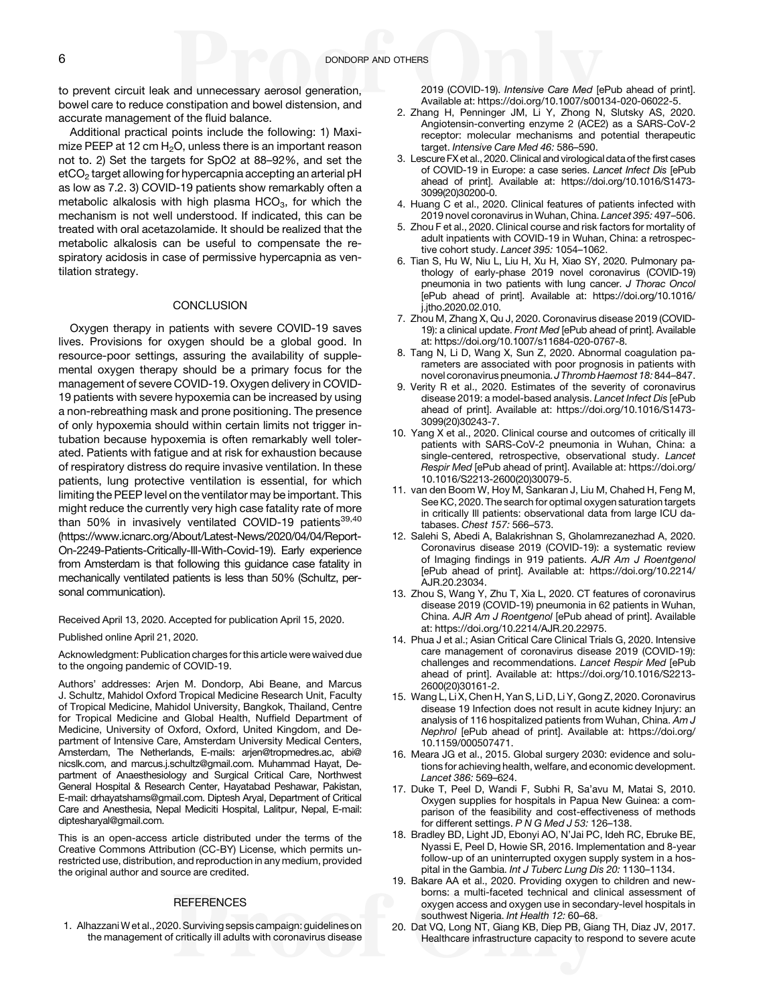<span id="page-5-0"></span>to prevent circuit leak and unnecessary aerosol generation, bowel care to reduce constipation and bowel distension, and accurate management of the fluid balance.

Additional practical points include the following: 1) Maximize PEEP at 12 cm  $H_2O$ , unless there is an important reason not to. 2) Set the targets for SpO2 at 88–92%, and set the etCO2 target allowing for hypercapnia accepting an arterial pH as low as 7.2. 3) COVID-19 patients show remarkably often a metabolic alkalosis with high plasma  $HCO<sub>3</sub>$ , for which the mechanism is not well understood. If indicated, this can be treated with oral acetazolamide. It should be realized that the metabolic alkalosis can be useful to compensate the respiratory acidosis in case of permissive hypercapnia as ventilation strategy.

### **CONCLUSION**

Oxygen therapy in patients with severe COVID-19 saves lives. Provisions for oxygen should be a global good. In resource-poor settings, assuring the availability of supplemental oxygen therapy should be a primary focus for the management of severe COVID-19. Oxygen delivery in COVID-19 patients with severe hypoxemia can be increased by using a non-rebreathing mask and prone positioning. The presence of only hypoxemia should within certain limits not trigger intubation because hypoxemia is often remarkably well tolerated. Patients with fatigue and at risk for exhaustion because of respiratory distress do require invasive ventilation. In these patients, lung protective ventilation is essential, for which limiting the PEEP level on the ventilator may be important. This might reduce the currently very high case fatality rate of more than 50% in invasively ventilated COVID-19 patients $^{39,40}$  $^{39,40}$  $^{39,40}$ [\(https://www.icnarc.org/About/Latest-News/2020/04/04/Report-](https://www.icnarc.org/About/Latest-News/2020/04/04/Report-On-2249-Patients-Critically-Ill-With-Covid-19)[On-2249-Patients-Critically-Ill-With-Covid-19](https://www.icnarc.org/About/Latest-News/2020/04/04/Report-On-2249-Patients-Critically-Ill-With-Covid-19)). Early experience from Amsterdam is that following this guidance case fatality in mechanically ventilated patients is less than 50% (Schultz, personal communication).

Received April 13, 2020. Accepted for publication April 15, 2020.

Published online April 21, 2020.

Acknowledgment: Publication charges for this article were waived due to the ongoing pandemic of COVID-19.

Authors' addresses: Arjen M. Dondorp, Abi Beane, and Marcus J. Schultz, Mahidol Oxford Tropical Medicine Research Unit, Faculty of Tropical Medicine, Mahidol University, Bangkok, Thailand, Centre for Tropical Medicine and Global Health, Nuffield Department of Medicine, University of Oxford, Oxford, United Kingdom, and Department of Intensive Care, Amsterdam University Medical Centers, Amsterdam, The Netherlands, E-mails: [arjen@tropmedres.ac](mailto:arjen@tropmedres.ac), [abi@](mailto:abi@nicslk.com) [nicslk.com,](mailto:abi@nicslk.com) and [marcus.j.schultz@gmail.com](mailto:marcus.j.schultz@gmail.com). Muhammad Hayat, Department of Anaesthesiology and Surgical Critical Care, Northwest General Hospital & Research Center, Hayatabad Peshawar, Pakistan, E-mail: [drhayatshams@gmail.com.](mailto:drhayatshams@gmail.com) Diptesh Aryal, Department of Critical Care and Anesthesia, Nepal Mediciti Hospital, Lalitpur, Nepal, E-mail: [diptesharyal@gmail.com](mailto:diptesharyal@gmail.com).

This is an open-access article distributed under the terms of the [Creative Commons Attribution \(CC-BY\) License,](https://creativecommons.org/licenses/by/4.0/) which permits unrestricted use, distribution, and reproduction in any medium, provided the original author and source are credited.

#### REFERENCES

1. AlhazzaniW et al., 2020. Surviving sepsis campaign: guidelines on the management of critically ill adults with coronavirus disease 2019 (COVID-19). Intensive Care Med [ePub ahead of print]. Available at: [https://doi.org/10.1007/s00134-020-06022-5.](https://doi.org/10.1007/s00134-020-06022-5)

- 2. Zhang H, Penninger JM, Li Y, Zhong N, Slutsky AS, 2020. Angiotensin-converting enzyme 2 (ACE2) as a SARS-CoV-2 receptor: molecular mechanisms and potential therapeutic target. Intensive Care Med 46: 586–590.
- 3. Lescure FX et al., 2020. Clinical and virological data of the first cases of COVID-19 in Europe: a case series. Lancet Infect Dis [ePub ahead of print]. Available at: [https://doi.org/10.1016/S1473-](https://doi.org/10.1016/S1473-3099(20)30200-0) [3099\(20\)30200-0.](https://doi.org/10.1016/S1473-3099(20)30200-0)
- 4. Huang C et al., 2020. Clinical features of patients infected with 2019 novel coronavirus in Wuhan, China. Lancet 395: 497–506.
- 5. Zhou F et al., 2020. Clinical course and risk factors for mortality of adult inpatients with COVID-19 in Wuhan, China: a retrospective cohort study. Lancet 395: 1054–1062.
- 6. Tian S, Hu W, Niu L, Liu H, Xu H, Xiao SY, 2020. Pulmonary pathology of early-phase 2019 novel coronavirus (COVID-19) pneumonia in two patients with lung cancer. J Thorac Oncol [ePub ahead of print]. Available at: [https://doi.org/10.1016/](https://doi.org/10.1016/j.jtho.2020.02.010) [j.jtho.2020.02.010.](https://doi.org/10.1016/j.jtho.2020.02.010)
- 7. Zhou M, Zhang X, Qu J, 2020. Coronavirus disease 2019 (COVID-19): a clinical update. Front Med [ePub ahead of print]. Available at:<https://doi.org/10.1007/s11684-020-0767-8>.
- 8. Tang N, Li D, Wang X, Sun Z, 2020. Abnormal coagulation parameters are associated with poor prognosis in patients with novel coronavirus pneumonia. J Thromb Haemost 18: 844–847.
- 9. Verity R et al., 2020. Estimates of the severity of coronavirus disease 2019: a model-based analysis. Lancet Infect Dis [ePub ahead of print]. Available at: [https://doi.org/10.1016/S1473-](https://doi.org/10.1016/S1473-3099(20)30243-7) [3099\(20\)30243-7.](https://doi.org/10.1016/S1473-3099(20)30243-7)
- 10. Yang X et al., 2020. Clinical course and outcomes of critically ill patients with SARS-CoV-2 pneumonia in Wuhan, China: a single-centered, retrospective, observational study. Lancet Respir Med [ePub ahead of print]. Available at: [https://doi.org/](https://doi.org/10.1016/S2213-2600(20)30079-5) [10.1016/S2213-2600\(20\)30079-5.](https://doi.org/10.1016/S2213-2600(20)30079-5)
- 11. van den Boom W, Hoy M, Sankaran J, Liu M, Chahed H, Feng M, See KC, 2020. The search for optimal oxygen saturation targets in critically Ill patients: observational data from large ICU databases. Chest 157: 566–573.
- 12. Salehi S, Abedi A, Balakrishnan S, Gholamrezanezhad A, 2020. Coronavirus disease 2019 (COVID-19): a systematic review of Imaging findings in 919 patients. AJR Am J Roentgenol [ePub ahead of print]. Available at: [https://doi.org/10.2214/](https://doi.org/10.2214/AJR.20.23034) [AJR.20.23034.](https://doi.org/10.2214/AJR.20.23034)
- 13. Zhou S, Wang Y, Zhu T, Xia L, 2020. CT features of coronavirus disease 2019 (COVID-19) pneumonia in 62 patients in Wuhan, China. AJR Am J Roentgenol [ePub ahead of print]. Available at:<https://doi.org/10.2214/AJR.20.22975>.
- 14. Phua J et al.; Asian Critical Care Clinical Trials G, 2020. Intensive care management of coronavirus disease 2019 (COVID-19): challenges and recommendations. Lancet Respir Med [ePub ahead of print]. Available at: [https://doi.org/10.1016/S2213-](https://doi.org/10.1016/S2213-2600(20)30161-2) [2600\(20\)30161-2.](https://doi.org/10.1016/S2213-2600(20)30161-2)
- 15. Wang L, Li X, Chen H, Yan S, Li D, Li Y, Gong Z, 2020. Coronavirus disease 19 Infection does not result in acute kidney Injury: an analysis of 116 hospitalized patients from Wuhan, China. Am J Nephrol [ePub ahead of print]. Available at: [https://doi.org/](https://doi.org/10.1159/000507471) [10.1159/000507471.](https://doi.org/10.1159/000507471)
- 16. Meara JG et al., 2015. Global surgery 2030: evidence and solutions for achieving health, welfare, and economic development. Lancet 386: 569–624.
- 17. Duke T, Peel D, Wandi F, Subhi R, Sa'avu M, Matai S, 2010. Oxygen supplies for hospitals in Papua New Guinea: a comparison of the feasibility and cost-effectiveness of methods for different settings. P N G Med J 53: 126-138.
- 18. Bradley BD, Light JD, Ebonyi AO, N'Jai PC, Ideh RC, Ebruke BE, Nyassi E, Peel D, Howie SR, 2016. Implementation and 8-year follow-up of an uninterrupted oxygen supply system in a hospital in the Gambia. Int J Tuberc Lung Dis 20: 1130-1134.
- 19. Bakare AA et al., 2020. Providing oxygen to children and newborns: a multi-faceted technical and clinical assessment of oxygen access and oxygen use in secondary-level hospitals in southwest Nigeria. Int Health 12: 60–68.
- 20. Dat VQ, Long NT, Giang KB, Diep PB, Giang TH, Diaz JV, 2017. Healthcare infrastructure capacity to respond to severe acute